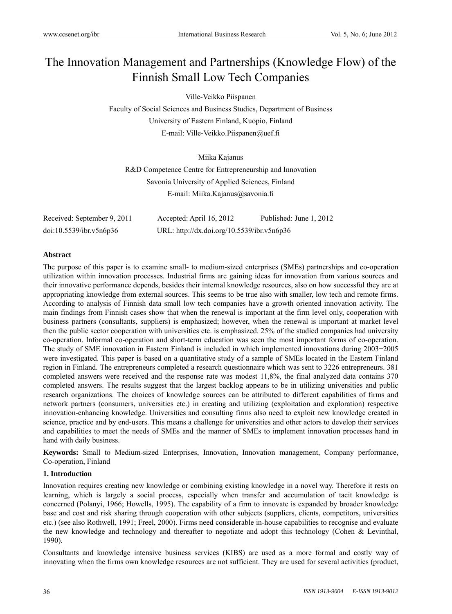# The Innovation Management and Partnerships (Knowledge Flow) of the Finnish Small Low Tech Companies

Ville-Veikko Piispanen

Faculty of Social Sciences and Business Studies, Department of Business University of Eastern Finland, Kuopio, Finland E-mail: Ville-Veikko.Piispanen@uef.fi

Miika Kajanus R&D Competence Centre for Entrepreneurship and Innovation Savonia University of Applied Sciences, Finland E-mail: Miika.Kajanus@savonia.fi

Received: September 9, 2011 Accepted: April 16, 2012 Published: June 1, 2012 doi:10.5539/ibr.v5n6p36 URL: http://dx.doi.org/10.5539/ibr.v5n6p36

## **Abstract**

The purpose of this paper is to examine small- to medium-sized enterprises (SMEs) partnerships and co-operation utilization within innovation processes. Industrial firms are gaining ideas for innovation from various sources and their innovative performance depends, besides their internal knowledge resources, also on how successful they are at appropriating knowledge from external sources. This seems to be true also with smaller, low tech and remote firms. According to analysis of Finnish data small low tech companies have a growth oriented innovation activity. The main findings from Finnish cases show that when the renewal is important at the firm level only, cooperation with business partners (consultants, suppliers) is emphasized; however, when the renewal is important at market level then the public sector cooperation with universities etc. is emphasized. 25% of the studied companies had university co-operation. Informal co-operation and short-term education was seen the most important forms of co-operation. The study of SME innovation in Eastern Finland is included in which implemented innovations during 2003−2005 were investigated. This paper is based on a quantitative study of a sample of SMEs located in the Eastern Finland region in Finland. The entrepreneurs completed a research questionnaire which was sent to 3226 entrepreneurs. 381 completed answers were received and the response rate was modest 11,8%, the final analyzed data contains 370 completed answers. The results suggest that the largest backlog appears to be in utilizing universities and public research organizations. The choices of knowledge sources can be attributed to different capabilities of firms and network partners (consumers, universities etc.) in creating and utilizing (exploitation and exploration) respective innovation-enhancing knowledge. Universities and consulting firms also need to exploit new knowledge created in science, practice and by end-users. This means a challenge for universities and other actors to develop their services and capabilities to meet the needs of SMEs and the manner of SMEs to implement innovation processes hand in hand with daily business.

**Keywords:** Small to Medium-sized Enterprises, Innovation, Innovation management, Company performance, Co-operation, Finland

#### **1. Introduction**

Innovation requires creating new knowledge or combining existing knowledge in a novel way. Therefore it rests on learning, which is largely a social process, especially when transfer and accumulation of tacit knowledge is concerned (Polanyi, 1966; Howells, 1995). The capability of a firm to innovate is expanded by broader knowledge base and cost and risk sharing through cooperation with other subjects (suppliers, clients, competitors, universities etc.) (see also Rothwell, 1991; Freel, 2000). Firms need considerable in-house capabilities to recognise and evaluate the new knowledge and technology and thereafter to negotiate and adopt this technology (Cohen & Levinthal, 1990).

Consultants and knowledge intensive business services (KIBS) are used as a more formal and costly way of innovating when the firms own knowledge resources are not sufficient. They are used for several activities (product,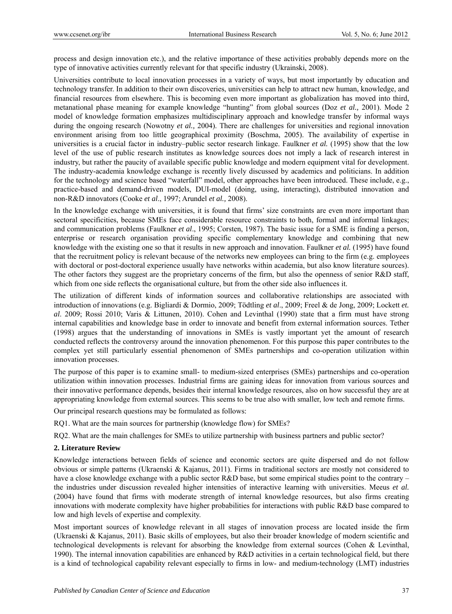process and design innovation etc.), and the relative importance of these activities probably depends more on the type of innovative activities currently relevant for that specific industry (Ukrainski, 2008).

Universities contribute to local innovation processes in a variety of ways, but most importantly by education and technology transfer. In addition to their own discoveries, universities can help to attract new human, knowledge, and financial resources from elsewhere. This is becoming even more important as globalization has moved into third, metanational phase meaning for example knowledge "hunting" from global sources (Doz *et al.,* 2001). Mode 2 model of knowledge formation emphasizes multidisciplinary approach and knowledge transfer by informal ways during the ongoing research (Nowotny *et al.,* 2004). There are challenges for universities and regional innovation environment arising from too little geographical proximity (Boschma, 2005). The availability of expertise in universities is a crucial factor in industry–public sector research linkage. Faulkner *et al.* (1995) show that the low level of the use of public research institutes as knowledge sources does not imply a lack of research interest in industry, but rather the paucity of available specific public knowledge and modern equipment vital for development. The industry-academia knowledge exchange is recently lively discussed by academics and politicians. In addition for the technology and science based "waterfall" model, other approaches have been introduced. These include, e.g., practice-based and demand-driven models, DUI-model (doing, using, interacting), distributed innovation and non-R&D innovators (Cooke *et al*., 1997; Arundel *et al.,* 2008).

In the knowledge exchange with universities, it is found that firms' size constraints are even more important than sectoral specificities, because SMEs face considerable resource constraints to both, formal and informal linkages; and communication problems (Faulkner *et al*., 1995; Corsten, 1987). The basic issue for a SME is finding a person, enterprise or research organisation providing specific complementary knowledge and combining that new knowledge with the existing one so that it results in new approach and innovation. Faulkner *et al.* (1995) have found that the recruitment policy is relevant because of the networks new employees can bring to the firm (e.g. employees with doctoral or post-doctoral experience usually have networks within academia, but also know literature sources). The other factors they suggest are the proprietary concerns of the firm, but also the openness of senior R&D staff, which from one side reflects the organisational culture, but from the other side also influences it.

The utilization of different kinds of information sources and collaborative relationships are associated with introduction of innovations (e.g. Bigliardi & Dormio, 2009; Tödtling *et al*., 2009; Freel & de Jong, 2009; Lockett *et. al*. 2009; Rossi 2010; Varis & Littunen, 2010). Cohen and Levinthal (1990) state that a firm must have strong internal capabilities and knowledge base in order to innovate and benefit from external information sources. Tether (1998) argues that the understanding of innovations in SMEs is vastly important yet the amount of research conducted reflects the controversy around the innovation phenomenon. For this purpose this paper contributes to the complex yet still particularly essential phenomenon of SMEs partnerships and co-operation utilization within innovation processes.

The purpose of this paper is to examine small- to medium-sized enterprises (SMEs) partnerships and co-operation utilization within innovation processes. Industrial firms are gaining ideas for innovation from various sources and their innovative performance depends, besides their internal knowledge resources, also on how successful they are at appropriating knowledge from external sources. This seems to be true also with smaller, low tech and remote firms.

Our principal research questions may be formulated as follows:

RQ1. What are the main sources for partnership (knowledge flow) for SMEs?

RQ2. What are the main challenges for SMEs to utilize partnership with business partners and public sector?

## **2. Literature Review**

Knowledge interactions between fields of science and economic sectors are quite dispersed and do not follow obvious or simple patterns (Ukraenski & Kajanus, 2011). Firms in traditional sectors are mostly not considered to have a close knowledge exchange with a public sector R&D base, but some empirical studies point to the contrary – the industries under discussion revealed higher intensities of interactive learning with universities. Meeus *et al.* (2004) have found that firms with moderate strength of internal knowledge resources, but also firms creating innovations with moderate complexity have higher probabilities for interactions with public R&D base compared to low and high levels of expertise and complexity.

Most important sources of knowledge relevant in all stages of innovation process are located inside the firm (Ukraenski & Kajanus, 2011). Basic skills of employees, but also their broader knowledge of modern scientific and technological developments is relevant for absorbing the knowledge from external sources (Cohen & Levinthal, 1990). The internal innovation capabilities are enhanced by R&D activities in a certain technological field, but there is a kind of technological capability relevant especially to firms in low- and medium-technology (LMT) industries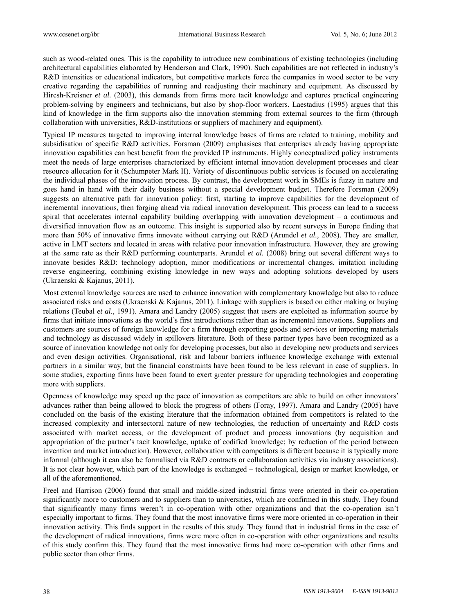such as wood-related ones. This is the capability to introduce new combinations of existing technologies (including architectural capabilities elaborated by Henderson and Clark, 1990). Such capabilities are not reflected in industry's R&D intensities or educational indicators, but competitive markets force the companies in wood sector to be very creative regarding the capabilities of running and readjusting their machinery and equipment. As discussed by Hircsh-Kreisner *et al.* (2003), this demands from firms more tacit knowledge and captures practical engineering problem-solving by engineers and technicians, but also by shop-floor workers. Laestadius (1995) argues that this kind of knowledge in the firm supports also the innovation stemming from external sources to the firm (through collaboration with universities, R&D-institutions or suppliers of machinery and equipment).

Typical IP measures targeted to improving internal knowledge bases of firms are related to training, mobility and subsidisation of specific R&D activities. Forsman (2009) emphasises that enterprises already having appropriate innovation capabilities can best benefit from the provided IP instruments. Highly conceptualized policy instruments meet the needs of large enterprises characterized by efficient internal innovation development processes and clear resource allocation for it (Schumpeter Mark II). Variety of discontinuous public services is focused on accelerating the individual phases of the innovation process. By contrast, the development work in SMEs is fuzzy in nature and goes hand in hand with their daily business without a special development budget. Therefore Forsman (2009) suggests an alternative path for innovation policy: first, starting to improve capabilities for the development of incremental innovations, then forging ahead via radical innovation development. This process can lead to a success spiral that accelerates internal capability building overlapping with innovation development – a continuous and diversified innovation flow as an outcome. This insight is supported also by recent surveys in Europe finding that more than 50% of innovative firms innovate without carrying out R&D (Arundel *et al.,* 2008). They are smaller, active in LMT sectors and located in areas with relative poor innovation infrastructure. However, they are growing at the same rate as their R&D performing counterparts. Arundel *et al.* (2008) bring out several different ways to innovate besides R&D: technology adoption, minor modifications or incremental changes, imitation including reverse engineering, combining existing knowledge in new ways and adopting solutions developed by users (Ukraenski & Kajanus, 2011).

Most external knowledge sources are used to enhance innovation with complementary knowledge but also to reduce associated risks and costs (Ukraenski & Kajanus, 2011). Linkage with suppliers is based on either making or buying relations (Teubal *et al.*, 1991). Amara and Landry (2005) suggest that users are exploited as information source by firms that initiate innovations as the world's first introductions rather than as incremental innovations. Suppliers and customers are sources of foreign knowledge for a firm through exporting goods and services or importing materials and technology as discussed widely in spillovers literature. Both of these partner types have been recognized as a source of innovation knowledge not only for developing processes, but also in developing new products and services and even design activities. Organisational, risk and labour barriers influence knowledge exchange with external partners in a similar way, but the financial constraints have been found to be less relevant in case of suppliers. In some studies, exporting firms have been found to exert greater pressure for upgrading technologies and cooperating more with suppliers.

Openness of knowledge may speed up the pace of innovation as competitors are able to build on other innovators' advances rather than being allowed to block the progress of others (Foray, 1997). Amara and Landry (2005) have concluded on the basis of the existing literature that the information obtained from competitors is related to the increased complexity and intersectoral nature of new technologies, the reduction of uncertainty and R&D costs associated with market access, or the development of product and process innovations (by acquisition and appropriation of the partner's tacit knowledge, uptake of codified knowledge; by reduction of the period between invention and market introduction). However, collaboration with competitors is different because it is typically more informal (although it can also be formalised via R&D contracts or collaboration activities via industry associations). It is not clear however, which part of the knowledge is exchanged – technological, design or market knowledge, or all of the aforementioned.

Freel and Harrison (2006) found that small and middle-sized industrial firms were oriented in their co-operation significantly more to customers and to suppliers than to universities, which are confirmed in this study. They found that significantly many firms weren't in co-operation with other organizations and that the co-operation isn't especially important to firms. They found that the most innovative firms were more oriented in co-operation in their innovation activity. This finds support in the results of this study. They found that in industrial firms in the case of the development of radical innovations, firms were more often in co-operation with other organizations and results of this study confirm this. They found that the most innovative firms had more co-operation with other firms and public sector than other firms.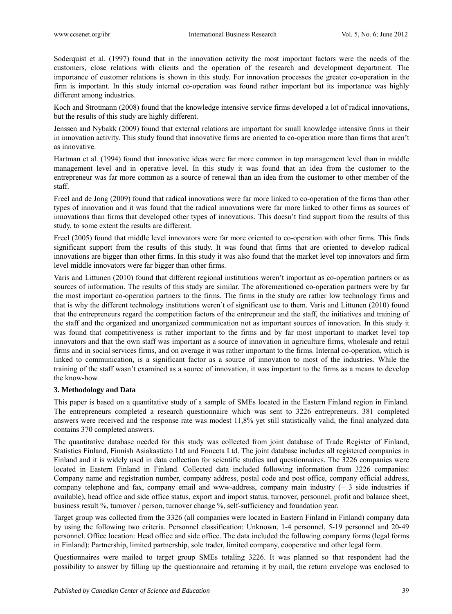Soderquist et al. (1997) found that in the innovation activity the most important factors were the needs of the customers, close relations with clients and the operation of the research and development department. The importance of customer relations is shown in this study. For innovation processes the greater co-operation in the firm is important. In this study internal co-operation was found rather important but its importance was highly different among industries.

Koch and Strotmann (2008) found that the knowledge intensive service firms developed a lot of radical innovations, but the results of this study are highly different.

Jenssen and Nybakk (2009) found that external relations are important for small knowledge intensive firms in their in innovation activity. This study found that innovative firms are oriented to co-operation more than firms that aren't as innovative.

Hartman et al. (1994) found that innovative ideas were far more common in top management level than in middle management level and in operative level. In this study it was found that an idea from the customer to the entrepreneur was far more common as a source of renewal than an idea from the customer to other member of the staff.

Freel and de Jong (2009) found that radical innovations were far more linked to co-operation of the firms than other types of innovation and it was found that the radical innovations were far more linked to other firms as sources of innovations than firms that developed other types of innovations. This doesn't find support from the results of this study, to some extent the results are different.

Freel (2005) found that middle level innovators were far more oriented to co-operation with other firms. This finds significant support from the results of this study. It was found that firms that are oriented to develop radical innovations are bigger than other firms. In this study it was also found that the market level top innovators and firm level middle innovators were far bigger than other firms.

Varis and Littunen (2010) found that different regional institutions weren't important as co-operation partners or as sources of information. The results of this study are similar. The aforementioned co-operation partners were by far the most important co-operation partners to the firms. The firms in the study are rather low technology firms and that is why the different technology institutions weren't of significant use to them. Varis and Littunen (2010) found that the entrepreneurs regard the competition factors of the entrepreneur and the staff, the initiatives and training of the staff and the organized and unorganized communication not as important sources of innovation. In this study it was found that competitiveness is rather important to the firms and by far most important to market level top innovators and that the own staff was important as a source of innovation in agriculture firms, wholesale and retail firms and in social services firms, and on average it was rather important to the firms. Internal co-operation, which is linked to communication, is a significant factor as a source of innovation to most of the industries. While the training of the staff wasn't examined as a source of innovation, it was important to the firms as a means to develop the know-how.

## **3. Methodology and Data**

This paper is based on a quantitative study of a sample of SMEs located in the Eastern Finland region in Finland. The entrepreneurs completed a research questionnaire which was sent to 3226 entrepreneurs. 381 completed answers were received and the response rate was modest 11,8% yet still statistically valid, the final analyzed data contains 370 completed answers.

The quantitative database needed for this study was collected from joint database of Trade Register of Finland, Statistics Finland, Finnish Asiakastieto Ltd and Fonecta Ltd. The joint database includes all registered companies in Finland and it is widely used in data collection for scientific studies and questionnaires. The 3226 companies were located in Eastern Finland in Finland. Collected data included following information from 3226 companies: Company name and registration number, company address, postal code and post office, company official address, company telephone and fax, company email and www-address, company main industry (+ 3 side industries if available), head office and side office status, export and import status, turnover, personnel, profit and balance sheet, business result %, turnover / person, turnover change %, self-sufficiency and foundation year.

Target group was collected from the 3326 (all companies were located in Eastern Finland in Finland) company data by using the following two criteria. Personnel classification: Unknown, 1-4 personnel, 5-19 personnel and 20-49 personnel. Office location: Head office and side office. The data included the following company forms (legal forms in Finland): Partnership, limited partnership, sole trader, limited company, cooperative and other legal form.

Questionnaires were mailed to target group SMEs totaling 3226. It was planned so that respondent had the possibility to answer by filling up the questionnaire and returning it by mail, the return envelope was enclosed to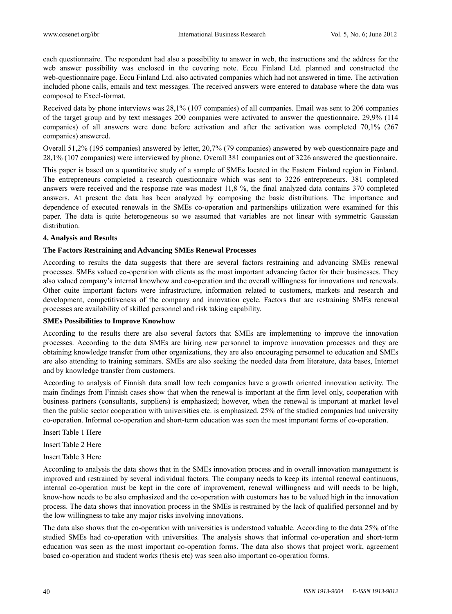each questionnaire. The respondent had also a possibility to answer in web, the instructions and the address for the web answer possibility was enclosed in the covering note. Eccu Finland Ltd. planned and constructed the web-questionnaire page. Eccu Finland Ltd. also activated companies which had not answered in time. The activation included phone calls, emails and text messages. The received answers were entered to database where the data was composed to Excel-format.

Received data by phone interviews was 28,1% (107 companies) of all companies. Email was sent to 206 companies of the target group and by text messages 200 companies were activated to answer the questionnaire. 29,9% (114 companies) of all answers were done before activation and after the activation was completed 70,1% (267 companies) answered.

Overall 51,2% (195 companies) answered by letter, 20,7% (79 companies) answered by web questionnaire page and 28,1% (107 companies) were interviewed by phone. Overall 381 companies out of 3226 answered the questionnaire.

This paper is based on a quantitative study of a sample of SMEs located in the Eastern Finland region in Finland. The entrepreneurs completed a research questionnaire which was sent to 3226 entrepreneurs. 381 completed answers were received and the response rate was modest 11,8 %, the final analyzed data contains 370 completed answers. At present the data has been analyzed by composing the basic distributions. The importance and dependence of executed renewals in the SMEs co-operation and partnerships utilization were examined for this paper. The data is quite heterogeneous so we assumed that variables are not linear with symmetric Gaussian distribution.

## **4. Analysis and Results**

## **The Factors Restraining and Advancing SMEs Renewal Processes**

According to results the data suggests that there are several factors restraining and advancing SMEs renewal processes. SMEs valued co-operation with clients as the most important advancing factor for their businesses. They also valued company's internal knowhow and co-operation and the overall willingness for innovations and renewals. Other quite important factors were infrastructure, information related to customers, markets and research and development, competitiveness of the company and innovation cycle. Factors that are restraining SMEs renewal processes are availability of skilled personnel and risk taking capability.

## **SMEs Possibilities to Improve Knowhow**

According to the results there are also several factors that SMEs are implementing to improve the innovation processes. According to the data SMEs are hiring new personnel to improve innovation processes and they are obtaining knowledge transfer from other organizations, they are also encouraging personnel to education and SMEs are also attending to training seminars. SMEs are also seeking the needed data from literature, data bases, Internet and by knowledge transfer from customers.

According to analysis of Finnish data small low tech companies have a growth oriented innovation activity. The main findings from Finnish cases show that when the renewal is important at the firm level only, cooperation with business partners (consultants, suppliers) is emphasized; however, when the renewal is important at market level then the public sector cooperation with universities etc. is emphasized. 25% of the studied companies had university co-operation. Informal co-operation and short-term education was seen the most important forms of co-operation.

Insert Table 1 Here

Insert Table 2 Here

Insert Table 3 Here

According to analysis the data shows that in the SMEs innovation process and in overall innovation management is improved and restrained by several individual factors. The company needs to keep its internal renewal continuous, internal co-operation must be kept in the core of improvement, renewal willingness and will needs to be high, know-how needs to be also emphasized and the co-operation with customers has to be valued high in the innovation process. The data shows that innovation process in the SMEs is restrained by the lack of qualified personnel and by the low willingness to take any major risks involving innovations.

The data also shows that the co-operation with universities is understood valuable. According to the data 25% of the studied SMEs had co-operation with universities. The analysis shows that informal co-operation and short-term education was seen as the most important co-operation forms. The data also shows that project work, agreement based co-operation and student works (thesis etc) was seen also important co-operation forms.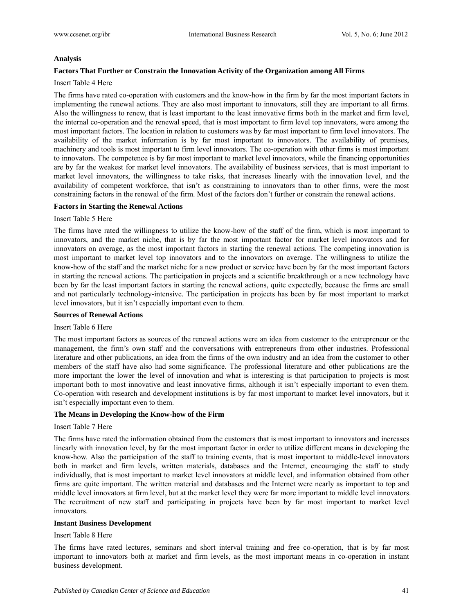## **Analysis**

## **Factors That Further or Constrain the Innovation Activity of the Organization among All Firms**

## Insert Table 4 Here

The firms have rated co-operation with customers and the know-how in the firm by far the most important factors in implementing the renewal actions. They are also most important to innovators, still they are important to all firms. Also the willingness to renew, that is least important to the least innovative firms both in the market and firm level, the internal co-operation and the renewal speed, that is most important to firm level top innovators, were among the most important factors. The location in relation to customers was by far most important to firm level innovators. The availability of the market information is by far most important to innovators. The availability of premises, machinery and tools is most important to firm level innovators. The co-operation with other firms is most important to innovators. The competence is by far most important to market level innovators, while the financing opportunities are by far the weakest for market level innovators. The availability of business services, that is most important to market level innovators, the willingness to take risks, that increases linearly with the innovation level, and the availability of competent workforce, that isn't as constraining to innovators than to other firms, were the most constraining factors in the renewal of the firm. Most of the factors don't further or constrain the renewal actions.

## **Factors in Starting the Renewal Actions**

#### Insert Table 5 Here

The firms have rated the willingness to utilize the know-how of the staff of the firm, which is most important to innovators, and the market niche, that is by far the most important factor for market level innovators and for innovators on average, as the most important factors in starting the renewal actions. The competing innovation is most important to market level top innovators and to the innovators on average. The willingness to utilize the know-how of the staff and the market niche for a new product or service have been by far the most important factors in starting the renewal actions. The participation in projects and a scientific breakthrough or a new technology have been by far the least important factors in starting the renewal actions, quite expectedly, because the firms are small and not particularly technology-intensive. The participation in projects has been by far most important to market level innovators, but it isn't especially important even to them.

## **Sources of Renewal Actions**

#### Insert Table 6 Here

The most important factors as sources of the renewal actions were an idea from customer to the entrepreneur or the management, the firm's own staff and the conversations with entrepreneurs from other industries. Professional literature and other publications, an idea from the firms of the own industry and an idea from the customer to other members of the staff have also had some significance. The professional literature and other publications are the more important the lower the level of innovation and what is interesting is that participation to projects is most important both to most innovative and least innovative firms, although it isn't especially important to even them. Co-operation with research and development institutions is by far most important to market level innovators, but it isn't especially important even to them.

## **The Means in Developing the Know-how of the Firm**

#### Insert Table 7 Here

The firms have rated the information obtained from the customers that is most important to innovators and increases linearly with innovation level, by far the most important factor in order to utilize different means in developing the know-how. Also the participation of the staff to training events, that is most important to middle-level innovators both in market and firm levels, written materials, databases and the Internet, encouraging the staff to study individually, that is most important to market level innovators at middle level, and information obtained from other firms are quite important. The written material and databases and the Internet were nearly as important to top and middle level innovators at firm level, but at the market level they were far more important to middle level innovators. The recruitment of new staff and participating in projects have been by far most important to market level innovators.

#### **Instant Business Development**

## Insert Table 8 Here

The firms have rated lectures, seminars and short interval training and free co-operation, that is by far most important to innovators both at market and firm levels, as the most important means in co-operation in instant business development.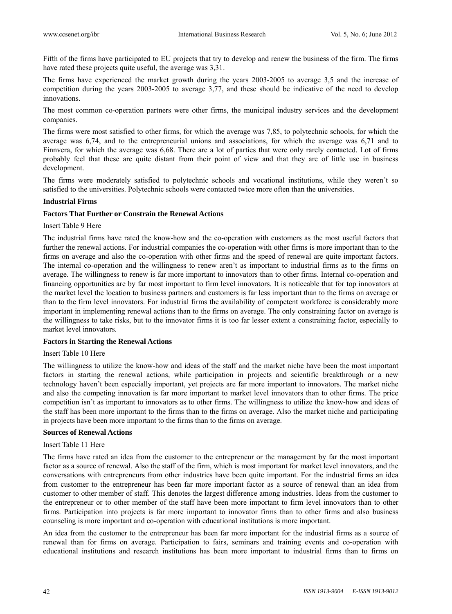Fifth of the firms have participated to EU projects that try to develop and renew the business of the firm. The firms have rated these projects quite useful, the average was 3,31.

The firms have experienced the market growth during the years 2003-2005 to average 3,5 and the increase of competition during the years 2003-2005 to average 3,77, and these should be indicative of the need to develop innovations.

The most common co-operation partners were other firms, the municipal industry services and the development companies.

The firms were most satisfied to other firms, for which the average was 7,85, to polytechnic schools, for which the average was 6,74, and to the entrepreneurial unions and associations, for which the average was 6,71 and to Finnvera, for which the average was 6,68. There are a lot of parties that were only rarely contacted. Lot of firms probably feel that these are quite distant from their point of view and that they are of little use in business development.

The firms were moderately satisfied to polytechnic schools and vocational institutions, while they weren't so satisfied to the universities. Polytechnic schools were contacted twice more often than the universities.

## **Industrial Firms**

#### **Factors That Further or Constrain the Renewal Actions**

## Insert Table 9 Here

The industrial firms have rated the know-how and the co-operation with customers as the most useful factors that further the renewal actions. For industrial companies the co-operation with other firms is more important than to the firms on average and also the co-operation with other firms and the speed of renewal are quite important factors. The internal co-operation and the willingness to renew aren't as important to industrial firms as to the firms on average. The willingness to renew is far more important to innovators than to other firms. Internal co-operation and financing opportunities are by far most important to firm level innovators. It is noticeable that for top innovators at the market level the location to business partners and customers is far less important than to the firms on average or than to the firm level innovators. For industrial firms the availability of competent workforce is considerably more important in implementing renewal actions than to the firms on average. The only constraining factor on average is the willingness to take risks, but to the innovator firms it is too far lesser extent a constraining factor, especially to market level innovators.

## **Factors in Starting the Renewal Actions**

#### Insert Table 10 Here

The willingness to utilize the know-how and ideas of the staff and the market niche have been the most important factors in starting the renewal actions, while participation in projects and scientific breakthrough or a new technology haven't been especially important, yet projects are far more important to innovators. The market niche and also the competing innovation is far more important to market level innovators than to other firms. The price competition isn't as important to innovators as to other firms. The willingness to utilize the know-how and ideas of the staff has been more important to the firms than to the firms on average. Also the market niche and participating in projects have been more important to the firms than to the firms on average.

## **Sources of Renewal Actions**

#### Insert Table 11 Here

The firms have rated an idea from the customer to the entrepreneur or the management by far the most important factor as a source of renewal. Also the staff of the firm, which is most important for market level innovators, and the conversations with entrepreneurs from other industries have been quite important. For the industrial firms an idea from customer to the entrepreneur has been far more important factor as a source of renewal than an idea from customer to other member of staff. This denotes the largest difference among industries. Ideas from the customer to the entrepreneur or to other member of the staff have been more important to firm level innovators than to other firms. Participation into projects is far more important to innovator firms than to other firms and also business counseling is more important and co-operation with educational institutions is more important.

An idea from the customer to the entrepreneur has been far more important for the industrial firms as a source of renewal than for firms on average. Participation to fairs, seminars and training events and co-operation with educational institutions and research institutions has been more important to industrial firms than to firms on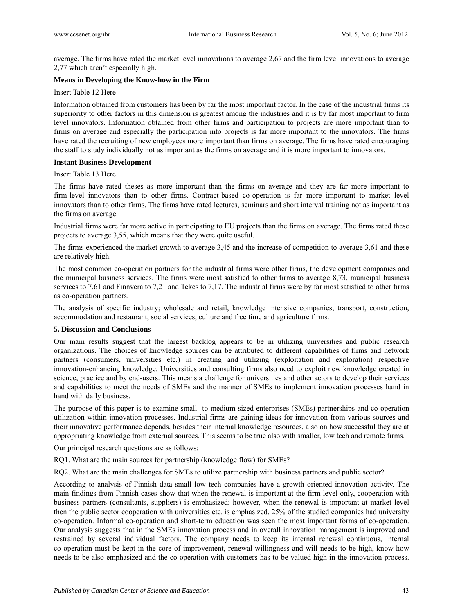average. The firms have rated the market level innovations to average 2,67 and the firm level innovations to average 2,77 which aren't especially high.

## **Means in Developing the Know-how in the Firm**

Insert Table 12 Here

Information obtained from customers has been by far the most important factor. In the case of the industrial firms its superiority to other factors in this dimension is greatest among the industries and it is by far most important to firm level innovators. Information obtained from other firms and participation to projects are more important than to firms on average and especially the participation into projects is far more important to the innovators. The firms have rated the recruiting of new employees more important than firms on average. The firms have rated encouraging the staff to study individually not as important as the firms on average and it is more important to innovators.

## **Instant Business Development**

Insert Table 13 Here

The firms have rated theses as more important than the firms on average and they are far more important to firm-level innovators than to other firms. Contract-based co-operation is far more important to market level innovators than to other firms. The firms have rated lectures, seminars and short interval training not as important as the firms on average.

Industrial firms were far more active in participating to EU projects than the firms on average. The firms rated these projects to average 3,55, which means that they were quite useful.

The firms experienced the market growth to average 3,45 and the increase of competition to average 3,61 and these are relatively high.

The most common co-operation partners for the industrial firms were other firms, the development companies and the municipal business services. The firms were most satisfied to other firms to average 8,73, municipal business services to 7,61 and Finnvera to 7,21 and Tekes to 7,17. The industrial firms were by far most satisfied to other firms as co-operation partners.

The analysis of specific industry; wholesale and retail, knowledge intensive companies, transport, construction, accommodation and restaurant, social services, culture and free time and agriculture firms.

#### **5. Discussion and Conclusions**

Our main results suggest that the largest backlog appears to be in utilizing universities and public research organizations. The choices of knowledge sources can be attributed to different capabilities of firms and network partners (consumers, universities etc.) in creating and utilizing (exploitation and exploration) respective innovation-enhancing knowledge. Universities and consulting firms also need to exploit new knowledge created in science, practice and by end-users. This means a challenge for universities and other actors to develop their services and capabilities to meet the needs of SMEs and the manner of SMEs to implement innovation processes hand in hand with daily business.

The purpose of this paper is to examine small- to medium-sized enterprises (SMEs) partnerships and co-operation utilization within innovation processes. Industrial firms are gaining ideas for innovation from various sources and their innovative performance depends, besides their internal knowledge resources, also on how successful they are at appropriating knowledge from external sources. This seems to be true also with smaller, low tech and remote firms.

Our principal research questions are as follows:

RQ1. What are the main sources for partnership (knowledge flow) for SMEs?

RQ2. What are the main challenges for SMEs to utilize partnership with business partners and public sector?

According to analysis of Finnish data small low tech companies have a growth oriented innovation activity. The main findings from Finnish cases show that when the renewal is important at the firm level only, cooperation with business partners (consultants, suppliers) is emphasized; however, when the renewal is important at market level then the public sector cooperation with universities etc. is emphasized. 25% of the studied companies had university co-operation. Informal co-operation and short-term education was seen the most important forms of co-operation. Our analysis suggests that in the SMEs innovation process and in overall innovation management is improved and restrained by several individual factors. The company needs to keep its internal renewal continuous, internal co-operation must be kept in the core of improvement, renewal willingness and will needs to be high, know-how needs to be also emphasized and the co-operation with customers has to be valued high in the innovation process.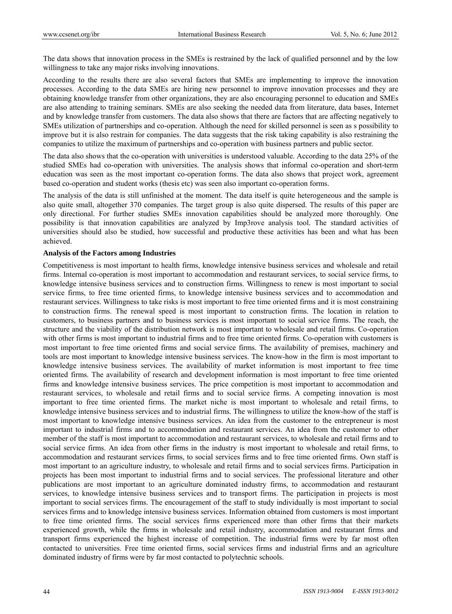The data shows that innovation process in the SMEs is restrained by the lack of qualified personnel and by the low willingness to take any major risks involving innovations.

According to the results there are also several factors that SMEs are implementing to improve the innovation processes. According to the data SMEs are hiring new personnel to improve innovation processes and they are obtaining knowledge transfer from other organizations, they are also encouraging personnel to education and SMEs are also attending to training seminars. SMEs are also seeking the needed data from literature, data bases, Internet and by knowledge transfer from customers. The data also shows that there are factors that are affecting negatively to SMEs utilization of partnerships and co-operation. Although the need for skilled personnel is seen as s possibility to improve but it is also restrain for companies. The data suggests that the risk taking capability is also restraining the companies to utilize the maximum of partnerships and co-operation with business partners and public sector.

The data also shows that the co-operation with universities is understood valuable. According to the data 25% of the studied SMEs had co-operation with universities. The analysis shows that informal co-operation and short-term education was seen as the most important co-operation forms. The data also shows that project work, agreement based co-operation and student works (thesis etc) was seen also important co-operation forms.

The analysis of the data is still unfinished at the moment. The data itself is quite heterogeneous and the sample is also quite small, altogether 370 companies. The target group is also quite dispersed. The results of this paper are only directional. For further studies SMEs innovation capabilities should be analyzed more thoroughly. One possibility is that innovation capabilities are analyzed by Imp3rove analysis tool. The standard activities of universities should also be studied, how successful and productive these activities has been and what has been achieved.

#### **Analysis of the Factors among Industries**

Competitiveness is most important to health firms, knowledge intensive business services and wholesale and retail firms. Internal co-operation is most important to accommodation and restaurant services, to social service firms, to knowledge intensive business services and to construction firms. Willingness to renew is most important to social service firms, to free time oriented firms, to knowledge intensive business services and to accommodation and restaurant services. Willingness to take risks is most important to free time oriented firms and it is most constraining to construction firms. The renewal speed is most important to construction firms. The location in relation to customers, to business partners and to business services is most important to social service firms. The reach, the structure and the viability of the distribution network is most important to wholesale and retail firms. Co-operation with other firms is most important to industrial firms and to free time oriented firms. Co-operation with customers is most important to free time oriented firms and social service firms. The availability of premises, machinery and tools are most important to knowledge intensive business services. The know-how in the firm is most important to knowledge intensive business services. The availability of market information is most important to free time oriented firms. The availability of research and development information is most important to free time oriented firms and knowledge intensive business services. The price competition is most important to accommodation and restaurant services, to wholesale and retail firms and to social service firms. A competing innovation is most important to free time oriented firms. The market niche is most important to wholesale and retail firms, to knowledge intensive business services and to industrial firms. The willingness to utilize the know-how of the staff is most important to knowledge intensive business services. An idea from the customer to the entrepreneur is most important to industrial firms and to accommodation and restaurant services. An idea from the customer to other member of the staff is most important to accommodation and restaurant services, to wholesale and retail firms and to social service firms. An idea from other firms in the industry is most important to wholesale and retail firms, to accommodation and restaurant services firms, to social services firms and to free time oriented firms. Own staff is most important to an agriculture industry, to wholesale and retail firms and to social services firms. Participation in projects has been most important to industrial firms and to social services. The professional literature and other publications are most important to an agriculture dominated industry firms, to accommodation and restaurant services, to knowledge intensive business services and to transport firms. The participation in projects is most important to social services firms. The encouragement of the staff to study individually is most important to social services firms and to knowledge intensive business services. Information obtained from customers is most important to free time oriented firms. The social services firms experienced more than other firms that their markets experienced growth, while the firms in wholesale and retail industry, accommodation and restaurant firms and transport firms experienced the highest increase of competition. The industrial firms were by far most often contacted to universities. Free time oriented firms, social services firms and industrial firms and an agriculture dominated industry of firms were by far most contacted to polytechnic schools.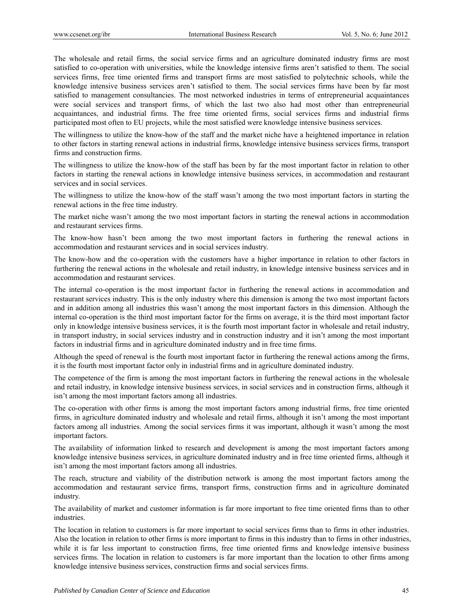The wholesale and retail firms, the social service firms and an agriculture dominated industry firms are most satisfied to co-operation with universities, while the knowledge intensive firms aren't satisfied to them. The social services firms, free time oriented firms and transport firms are most satisfied to polytechnic schools, while the knowledge intensive business services aren't satisfied to them. The social services firms have been by far most satisfied to management consultancies. The most networked industries in terms of entrepreneurial acquaintances were social services and transport firms, of which the last two also had most other than entrepreneurial acquaintances, and industrial firms. The free time oriented firms, social services firms and industrial firms participated most often to EU projects, while the most satisfied were knowledge intensive business services.

The willingness to utilize the know-how of the staff and the market niche have a heightened importance in relation to other factors in starting renewal actions in industrial firms, knowledge intensive business services firms, transport firms and construction firms.

The willingness to utilize the know-how of the staff has been by far the most important factor in relation to other factors in starting the renewal actions in knowledge intensive business services, in accommodation and restaurant services and in social services.

The willingness to utilize the know-how of the staff wasn't among the two most important factors in starting the renewal actions in the free time industry.

The market niche wasn't among the two most important factors in starting the renewal actions in accommodation and restaurant services firms.

The know-how hasn't been among the two most important factors in furthering the renewal actions in accommodation and restaurant services and in social services industry.

The know-how and the co-operation with the customers have a higher importance in relation to other factors in furthering the renewal actions in the wholesale and retail industry, in knowledge intensive business services and in accommodation and restaurant services.

The internal co-operation is the most important factor in furthering the renewal actions in accommodation and restaurant services industry. This is the only industry where this dimension is among the two most important factors and in addition among all industries this wasn't among the most important factors in this dimension. Although the internal co-operation is the third most important factor for the firms on average, it is the third most important factor only in knowledge intensive business services, it is the fourth most important factor in wholesale and retail industry, in transport industry, in social services industry and in construction industry and it isn't among the most important factors in industrial firms and in agriculture dominated industry and in free time firms.

Although the speed of renewal is the fourth most important factor in furthering the renewal actions among the firms, it is the fourth most important factor only in industrial firms and in agriculture dominated industry.

The competence of the firm is among the most important factors in furthering the renewal actions in the wholesale and retail industry, in knowledge intensive business services, in social services and in construction firms, although it isn't among the most important factors among all industries.

The co-operation with other firms is among the most important factors among industrial firms, free time oriented firms, in agriculture dominated industry and wholesale and retail firms, although it isn't among the most important factors among all industries. Among the social services firms it was important, although it wasn't among the most important factors.

The availability of information linked to research and development is among the most important factors among knowledge intensive business services, in agriculture dominated industry and in free time oriented firms, although it isn't among the most important factors among all industries.

The reach, structure and viability of the distribution network is among the most important factors among the accommodation and restaurant service firms, transport firms, construction firms and in agriculture dominated industry.

The availability of market and customer information is far more important to free time oriented firms than to other industries.

The location in relation to customers is far more important to social services firms than to firms in other industries. Also the location in relation to other firms is more important to firms in this industry than to firms in other industries, while it is far less important to construction firms, free time oriented firms and knowledge intensive business services firms. The location in relation to customers is far more important than the location to other firms among knowledge intensive business services, construction firms and social services firms.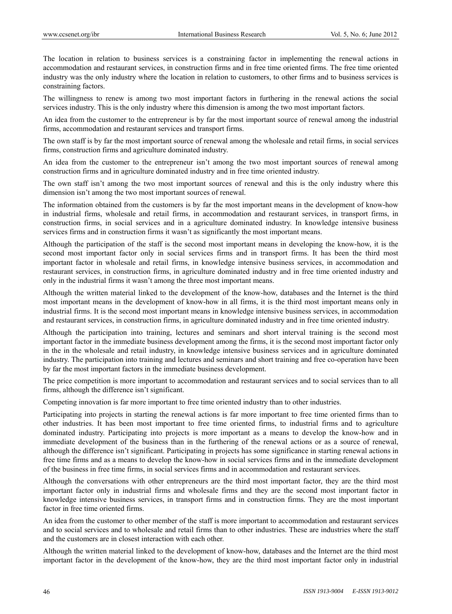The location in relation to business services is a constraining factor in implementing the renewal actions in accommodation and restaurant services, in construction firms and in free time oriented firms. The free time oriented industry was the only industry where the location in relation to customers, to other firms and to business services is constraining factors.

The willingness to renew is among two most important factors in furthering in the renewal actions the social services industry. This is the only industry where this dimension is among the two most important factors.

An idea from the customer to the entrepreneur is by far the most important source of renewal among the industrial firms, accommodation and restaurant services and transport firms.

The own staff is by far the most important source of renewal among the wholesale and retail firms, in social services firms, construction firms and agriculture dominated industry.

An idea from the customer to the entrepreneur isn't among the two most important sources of renewal among construction firms and in agriculture dominated industry and in free time oriented industry.

The own staff isn't among the two most important sources of renewal and this is the only industry where this dimension isn't among the two most important sources of renewal.

The information obtained from the customers is by far the most important means in the development of know-how in industrial firms, wholesale and retail firms, in accommodation and restaurant services, in transport firms, in construction firms, in social services and in a agriculture dominated industry. In knowledge intensive business services firms and in construction firms it wasn't as significantly the most important means.

Although the participation of the staff is the second most important means in developing the know-how, it is the second most important factor only in social services firms and in transport firms. It has been the third most important factor in wholesale and retail firms, in knowledge intensive business services, in accommodation and restaurant services, in construction firms, in agriculture dominated industry and in free time oriented industry and only in the industrial firms it wasn't among the three most important means.

Although the written material linked to the development of the know-how, databases and the Internet is the third most important means in the development of know-how in all firms, it is the third most important means only in industrial firms. It is the second most important means in knowledge intensive business services, in accommodation and restaurant services, in construction firms, in agriculture dominated industry and in free time oriented industry.

Although the participation into training, lectures and seminars and short interval training is the second most important factor in the immediate business development among the firms, it is the second most important factor only in the in the wholesale and retail industry, in knowledge intensive business services and in agriculture dominated industry. The participation into training and lectures and seminars and short training and free co-operation have been by far the most important factors in the immediate business development.

The price competition is more important to accommodation and restaurant services and to social services than to all firms, although the difference isn't significant.

Competing innovation is far more important to free time oriented industry than to other industries.

Participating into projects in starting the renewal actions is far more important to free time oriented firms than to other industries. It has been most important to free time oriented firms, to industrial firms and to agriculture dominated industry. Participating into projects is more important as a means to develop the know-how and in immediate development of the business than in the furthering of the renewal actions or as a source of renewal, although the difference isn't significant. Participating in projects has some significance in starting renewal actions in free time firms and as a means to develop the know-how in social services firms and in the immediate development of the business in free time firms, in social services firms and in accommodation and restaurant services.

Although the conversations with other entrepreneurs are the third most important factor, they are the third most important factor only in industrial firms and wholesale firms and they are the second most important factor in knowledge intensive business services, in transport firms and in construction firms. They are the most important factor in free time oriented firms.

An idea from the customer to other member of the staff is more important to accommodation and restaurant services and to social services and to wholesale and retail firms than to other industries. These are industries where the staff and the customers are in closest interaction with each other.

Although the written material linked to the development of know-how, databases and the Internet are the third most important factor in the development of the know-how, they are the third most important factor only in industrial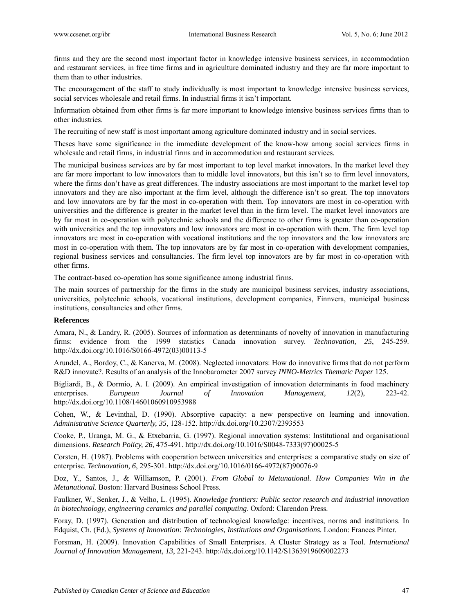firms and they are the second most important factor in knowledge intensive business services, in accommodation and restaurant services, in free time firms and in agriculture dominated industry and they are far more important to them than to other industries.

The encouragement of the staff to study individually is most important to knowledge intensive business services, social services wholesale and retail firms. In industrial firms it isn't important.

Information obtained from other firms is far more important to knowledge intensive business services firms than to other industries.

The recruiting of new staff is most important among agriculture dominated industry and in social services.

Theses have some significance in the immediate development of the know-how among social services firms in wholesale and retail firms, in industrial firms and in accommodation and restaurant services.

The municipal business services are by far most important to top level market innovators. In the market level they are far more important to low innovators than to middle level innovators, but this isn't so to firm level innovators, where the firms don't have as great differences. The industry associations are most important to the market level top innovators and they are also important at the firm level, although the difference isn't so great. The top innovators and low innovators are by far the most in co-operation with them. Top innovators are most in co-operation with universities and the difference is greater in the market level than in the firm level. The market level innovators are by far most in co-operation with polytechnic schools and the difference to other firms is greater than co-operation with universities and the top innovators and low innovators are most in co-operation with them. The firm level top innovators are most in co-operation with vocational institutions and the top innovators and the low innovators are most in co-operation with them. The top innovators are by far most in co-operation with development companies, regional business services and consultancies. The firm level top innovators are by far most in co-operation with other firms.

The contract-based co-operation has some significance among industrial firms.

The main sources of partnership for the firms in the study are municipal business services, industry associations, universities, polytechnic schools, vocational institutions, development companies, Finnvera, municipal business institutions, consultancies and other firms.

## **References**

Amara, N., & Landry, R. (2005). Sources of information as determinants of novelty of innovation in manufacturing firms: evidence from the 1999 statistics Canada innovation survey. *Technovation, 25*, 245-259. http://dx.doi.org/10.1016/S0166-4972(03)00113-5

Arundel, A., Bordoy, C., & Kanerva, M. (2008). Neglected innovators: How do innovative firms that do not perform R&D innovate?. Results of an analysis of the Innobarometer 2007 survey *INNO-Metrics Thematic Paper* 125.

Bigliardi, B., & Dormio, A. I. (2009). An empirical investigation of innovation determinants in food machinery enterprises. *European Journal of Innovation Management, 12*(2), 223-42. http://dx.doi.org/10.1108/14601060910953988

Cohen, W., & Levinthal, D. (1990). Absorptive capacity: a new perspective on learning and innovation. *Administrative Science Quarterly, 35*, 128-152. http://dx.doi.org/10.2307/2393553

Cooke, P., Uranga, M. G., & Etxebarria, G. (1997). Regional innovation systems: Institutional and organisational dimensions. *Research Policy, 26*, 475-491. http://dx.doi.org/10.1016/S0048-7333(97)00025-5

Corsten, H. (1987). Problems with cooperation between universities and enterprises: a comparative study on size of enterprise. *Technovation, 6*, 295-301. http://dx.doi.org/10.1016/0166-4972(87)90076-9

Doz, Y., Santos, J., & Williamson, P. (2001). *From Global to Metanational. How Companies Win in the Metanational.* Boston: Harvard Business School Press.

Faulkner, W., Senker, J., & Velho, L. (1995). *Knowledge frontiers: Public sector research and industrial innovation in biotechnology, engineering ceramics and parallel computing*. Oxford: Clarendon Press.

Foray, D. (1997). Generation and distribution of technological knowledge: incentives, norms and institutions. In Edquist, Ch. (Ed.), *Systems of Innovation: Technologies, Institutions and Organisations.* London: Frances Pinter.

Forsman, H. (2009). Innovation Capabilities of Small Enterprises. A Cluster Strategy as a Tool. *International Journal of Innovation Management, 13*, 221-243. http://dx.doi.org/10.1142/S1363919609002273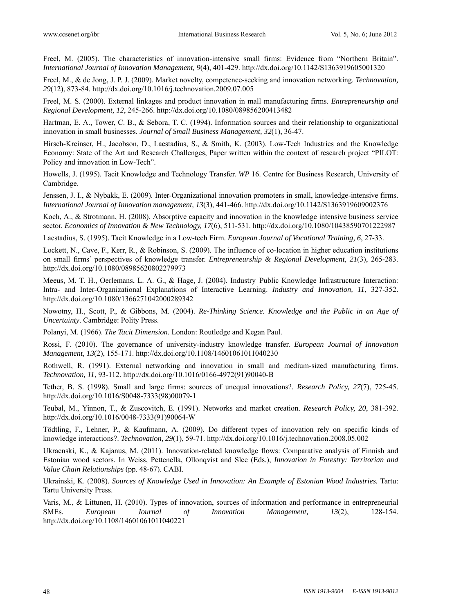Freel, M. (2005). The characteristics of innovation-intensive small firms: Evidence from "Northern Britain". *International Journal of Innovation Management, 9*(4), 401-429. http://dx.doi.org/10.1142/S1363919605001320

Freel, M., & de Jong, J. P. J. (2009). Market novelty, competence-seeking and innovation networking. *Technovation, 29*(12), 873-84. http://dx.doi.org/10.1016/j.technovation.2009.07.005

Freel, M. S. (2000). External linkages and product innovation in mall manufacturing firms. *Entrepreneurship and Regional Development, 12*, 245-266. http://dx.doi.org/10.1080/089856200413482

Hartman, E. A., Tower, C. B., & Sebora, T. C. (1994). Information sources and their relationship to organizational innovation in small businesses. *Journal of Small Business Management, 32*(1), 36-47.

Hirsch-Kreinser, H., Jacobson, D., Laestadius, S., & Smith, K. (2003). Low-Tech Industries and the Knowledge Economy: State of the Art and Research Challenges, Paper written within the context of research project "PILOT: Policy and innovation in Low-Tech".

Howells, J. (1995). Tacit Knowledge and Technology Transfer. *WP* 16. Centre for Business Research, University of Cambridge.

Jenssen, J. I., & Nybakk, E. (2009). Inter-Organizational innovation promoters in small, knowledge-intensive firms. *International Journal of Innovation management, 13*(3), 441-466. http://dx.doi.org/10.1142/S1363919609002376

Koch, A., & Strotmann, H. (2008). Absorptive capacity and innovation in the knowledge intensive business service sector. *Economics of Innovation & New Technology, 17*(6), 511-531. http://dx.doi.org/10.1080/10438590701222987

Laestadius, S. (1995). Tacit Knowledge in a Low-tech Firm. *European Journal of Vocational Training, 6*, 27-33.

Lockett, N., Cave, F., Kerr, R., & Robinson, S. (2009). The influence of co-location in higher education institutions on small firms' perspectives of knowledge transfer. *Entrepreneurship & Regional Development, 21*(3), 265-283. http://dx.doi.org/10.1080/08985620802279973

Meeus, M. T. H., Oerlemans, L. A. G., & Hage, J. (2004). Industry–Public Knowledge Infrastructure Interaction: Intra- and Inter-Organizational Explanations of Interactive Learning. *Industry and Innovation, 11*, 327-352. http://dx.doi.org/10.1080/1366271042000289342

Nowotny, H., Scott, P., & Gibbons, M. (2004). *Re-Thinking Science. Knowledge and the Public in an Age of Uncertainty*. Cambridge: Polity Press.

Polanyi, M. (1966). *The Tacit Dimension*. London: Routledge and Kegan Paul.

Rossi, F. (2010). The governance of university-industry knowledge transfer. *European Journal of Innovation Management, 13*(2), 155-171. http://dx.doi.org/10.1108/14601061011040230

Rothwell, R. (1991). External networking and innovation in small and medium-sized manufacturing firms. *Technovation, 11*, 93-112. http://dx.doi.org/10.1016/0166-4972(91)90040-B

Tether, B. S. (1998). Small and large firms: sources of unequal innovations?. *Research Policy, 27*(7), 725-45. http://dx.doi.org/10.1016/S0048-7333(98)00079-1

Teubal, M., Yinnon, T., & Zuscovitch, E. (1991). Networks and market creation. *Research Policy, 20*, 381-392. http://dx.doi.org/10.1016/0048-7333(91)90064-W

Tödtling, F., Lehner, P., & Kaufmann, A. (2009). Do different types of innovation rely on specific kinds of knowledge interactions?. *Technovation, 29*(1), 59-71. http://dx.doi.org/10.1016/j.technovation.2008.05.002

Ukraenski, K., & Kajanus, M. (2011). Innovation-related knowledge flows: Comparative analysis of Finnish and Estonian wood sectors. In Weiss, Pettenella, Ollonqvist and Slee (Eds.), *Innovation in Forestry: Territorian and Value Chain Relationships* (pp. 48-67). CABI.

Ukrainski, K. (2008). *Sources of Knowledge Used in Innovation: An Example of Estonian Wood Industries.* Tartu: Tartu University Press.

Varis, M., & Littunen, H. (2010). Types of innovation, sources of information and performance in entrepreneurial SMEs. *European Journal of Innovation Management, 13*(2), 128-154. http://dx.doi.org/10.1108/14601061011040221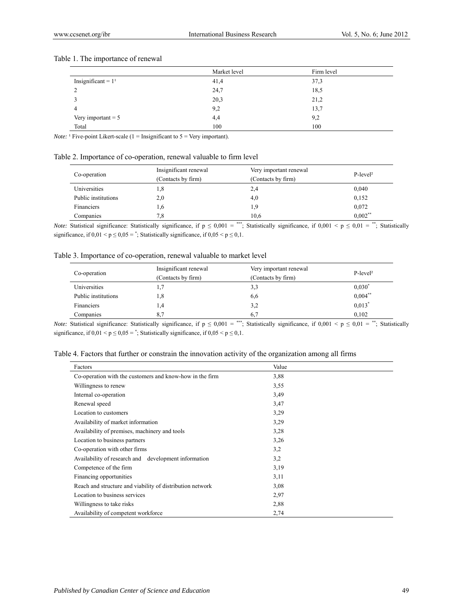|                      | Market level | Firm level |  |
|----------------------|--------------|------------|--|
| Insignificant = $11$ | 41,4         | 37,3       |  |
| $\gamma$             | 24,7         | 18,5       |  |
|                      | 20,3         | 21,2       |  |
| 4                    | 9,2          | 13,7       |  |
| Very important $= 5$ | 4,4          | 9,2        |  |
| Total                | 100          | 100        |  |

## Table 1. The importance of renewal

*Note:* <sup>1</sup> Five-point Likert-scale (1 = Insignificant to  $5$  = Very important).

#### Table 2. Importance of co-operation, renewal valuable to firm level

| Co-operation        | Insignificant renewal<br>(Contacts by firm) | Very important renewal<br>(Contacts by firm) | $P$ -level <sup>2</sup> |
|---------------------|---------------------------------------------|----------------------------------------------|-------------------------|
| Universities        | 1,8                                         | 2,4                                          | 0,040                   |
| Public institutions | 2,0                                         | 4,0                                          | 0,152                   |
| Financiers          | 1.6                                         | 1,9                                          | 0,072                   |
| Companies           | 7.8                                         | 10,6                                         | $0,002***$              |

*Note:* Statistical significance: Statistically significance, if  $p \le 0.001 =$  \*\*\*; Statistically significance, if  $0.001 < p \le 0.01 =$  \*\*; Statistically significance, if  $0.01 \le p \le 0.05 =$ \*; Statistically significance, if  $0.05 \le p \le 0.1$ .

## Table 3. Importance of co-operation, renewal valuable to market level

| Co-operation        | Insignificant renewal | Very important renewal | $P$ -level <sup>2</sup> |
|---------------------|-----------------------|------------------------|-------------------------|
|                     | (Contacts by firm)    | (Contacts by firm)     |                         |
| Universities        |                       | 3,3                    | $0,030^*$               |
| Public institutions | 1,8                   | 6,6                    | $0,004***$              |
| Financiers          | 1,4                   | 3,2                    | $0,013$ <sup>*</sup>    |
| Companies           | 8.7                   |                        | 0,102                   |

*Note:* Statistical significance: Statistically significance, if  $p \le 0.001 =$  \*\*\*; Statistically significance, if  $0.001 < p \le 0.01 =$  \*\*; Statistically significance, if  $0.01 \le p \le 0.05 =$ \*; Statistically significance, if  $0.05 \le p \le 0.1$ .

Table 4. Factors that further or constrain the innovation activity of the organization among all firms

| Factors                                                   | Value |
|-----------------------------------------------------------|-------|
| Co-operation with the customers and know-how in the firm  | 3,88  |
| Willingness to renew                                      | 3,55  |
| Internal co-operation                                     | 3,49  |
| Renewal speed                                             | 3,47  |
| Location to customers                                     | 3,29  |
| Availability of market information                        | 3,29  |
| Availability of premises, machinery and tools             | 3,28  |
| Location to business partners                             | 3,26  |
| Co-operation with other firms                             | 3,2   |
| Availability of research and development information      | 3,2   |
| Competence of the firm                                    | 3,19  |
| Financing opportunities                                   | 3,11  |
| Reach and structure and viability of distribution network | 3,08  |
| Location to business services                             | 2,97  |
| Willingness to take risks                                 | 2,88  |
| Availability of competent workforce                       | 2,74  |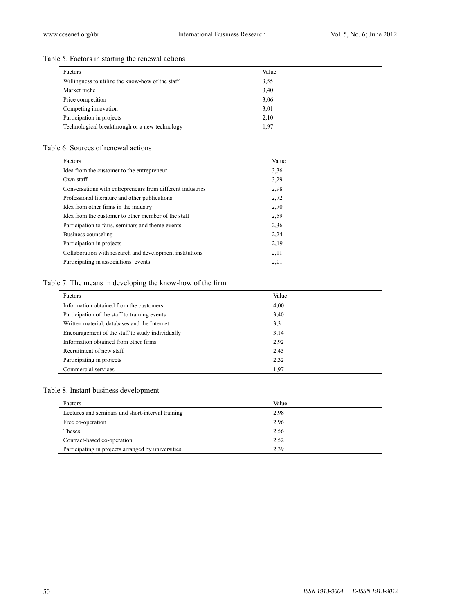## Table 5. Factors in starting the renewal actions

| Factors                                          | Value |  |
|--------------------------------------------------|-------|--|
| Willingness to utilize the know-how of the staff | 3,55  |  |
| Market niche                                     | 3,40  |  |
| Price competition                                | 3,06  |  |
| Competing innovation                             | 3,01  |  |
| Participation in projects                        | 2,10  |  |
| Technological breakthrough or a new technology   | 1.97  |  |

## Table 6. Sources of renewal actions

| Factors                                                    | Value |  |
|------------------------------------------------------------|-------|--|
| Idea from the customer to the entrepreneur                 | 3,36  |  |
| Own staff                                                  | 3.29  |  |
| Conversations with entrepreneurs from different industries | 2,98  |  |
| Professional literature and other publications             | 2,72  |  |
| Idea from other firms in the industry                      | 2,70  |  |
| Idea from the customer to other member of the staff        | 2.59  |  |
| Participation to fairs, seminars and theme events          | 2,36  |  |
| Business counseling                                        | 2,24  |  |
| Participation in projects                                  | 2,19  |  |
| Collaboration with research and development institutions   | 2,11  |  |
| Participating in associations' events                      | 2,01  |  |

## Table 7. The means in developing the know-how of the firm

| Factors                                          | Value |  |
|--------------------------------------------------|-------|--|
| Information obtained from the customers          | 4,00  |  |
| Participation of the staff to training events    | 3,40  |  |
| Written material, databases and the Internet     | 3,3   |  |
| Encouragement of the staff to study individually | 3,14  |  |
| Information obtained from other firms            | 2,92  |  |
| Recruitment of new staff                         | 2,45  |  |
| Participating in projects                        | 2,32  |  |
| Commercial services                              | 1,97  |  |

## Table 8. Instant business development

| Factors                                            | Value |
|----------------------------------------------------|-------|
| Lectures and seminars and short-interval training  | 2,98  |
| Free co-operation                                  | 2,96  |
| Theses                                             | 2,56  |
| Contract-based co-operation                        | 2,52  |
| Participating in projects arranged by universities | 2.39  |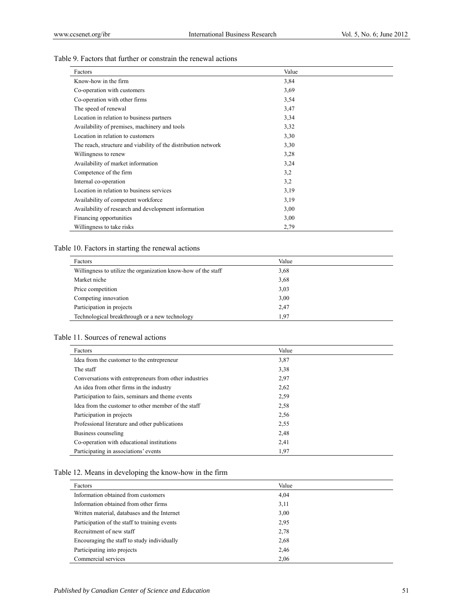## Table 9. Factors that further or constrain the renewal actions

| Factors                                                        | Value |
|----------------------------------------------------------------|-------|
| Know-how in the firm                                           | 3,84  |
| Co-operation with customers                                    | 3,69  |
| Co-operation with other firms                                  | 3,54  |
| The speed of renewal                                           | 3,47  |
| Location in relation to business partners                      | 3,34  |
| Availability of premises, machinery and tools                  | 3,32  |
| Location in relation to customers                              | 3,30  |
| The reach, structure and viability of the distribution network | 3,30  |
| Willingness to renew                                           | 3,28  |
| Availability of market information                             | 3,24  |
| Competence of the firm                                         | 3,2   |
| Internal co-operation                                          | 3,2   |
| Location in relation to business services                      | 3,19  |
| Availability of competent workforce                            | 3,19  |
| Availability of research and development information           | 3,00  |
| Financing opportunities                                        | 3,00  |
| Willingness to take risks                                      | 2,79  |

## Table 10. Factors in starting the renewal actions

| Factors                                                       | Value |
|---------------------------------------------------------------|-------|
| Willingness to utilize the organization know-how of the staff | 3,68  |
| Market niche                                                  | 3,68  |
| Price competition                                             | 3.03  |
| Competing innovation                                          | 3,00  |
| Participation in projects                                     | 2,47  |
| Technological breakthrough or a new technology                | .97   |

## Table 11. Sources of renewal actions

| Factors                                                | Value |  |
|--------------------------------------------------------|-------|--|
| Idea from the customer to the entrepreneur             | 3,87  |  |
| The staff                                              | 3.38  |  |
| Conversations with entrepreneurs from other industries | 2,97  |  |
| An idea from other firms in the industry               | 2,62  |  |
| Participation to fairs, seminars and theme events      | 2.59  |  |
| Idea from the customer to other member of the staff    | 2.58  |  |
| Participation in projects                              | 2.56  |  |
| Professional literature and other publications         | 2.55  |  |
| Business counseling                                    | 2,48  |  |
| Co-operation with educational institutions             | 2,41  |  |
| Participating in associations' events                  | 1,97  |  |

## Table 12. Means in developing the know-how in the firm

| Factors                                       | Value |  |
|-----------------------------------------------|-------|--|
| Information obtained from customers           | 4,04  |  |
| Information obtained from other firms         | 3,11  |  |
| Written material, databases and the Internet  | 3,00  |  |
| Participation of the staff to training events | 2.95  |  |
| Recruitment of new staff                      | 2,78  |  |
| Encouraging the staff to study individually   | 2.68  |  |
| Participating into projects                   | 2,46  |  |
| Commercial services                           | 2,06  |  |